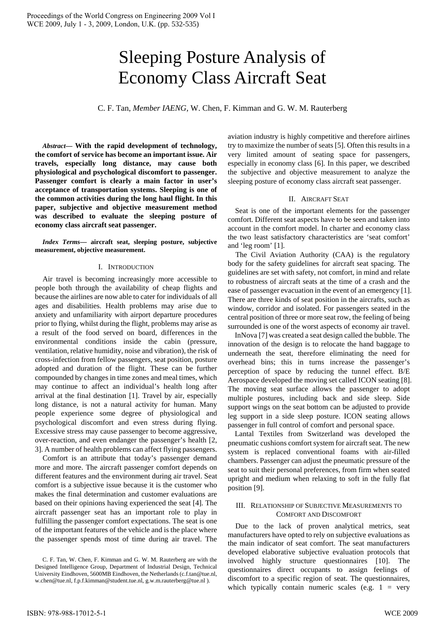# Sleeping Posture Analysis of Economy Class Aircraft Seat

C. F. Tan, *Member IAENG,* W. Chen, F. Kimman and G. W. M. Rauterberg

*Abstract***— With the rapid development of technology, the comfort of service has become an important issue. Air travels, especially long distance, may cause both physiological and psychological discomfort to passenger. Passenger comfort is clearly a main factor in user's acceptance of transportation systems. Sleeping is one of the common activities during the long haul flight. In this paper, subjective and objective measurement method was described to evaluate the sleeping posture of economy class aircraft seat passenger.** 

*Index Terms***— aircraft seat, sleeping posture, subjective measurement, objective measurement.** 

## I. INTRODUCTION

 Air travel is becoming increasingly more accessible to people both through the availability of cheap flights and because the airlines are now able to cater for individuals of all ages and disabilities. Health problems may arise due to anxiety and unfamiliarity with airport departure procedures prior to flying, whilst during the flight, problems may arise as a result of the food served on board, differences in the environmental conditions inside the cabin (pressure, ventilation, relative humidity, noise and vibration), the risk of cross-infection from fellow passengers, seat position, posture adopted and duration of the flight. These can be further compounded by changes in time zones and meal times, which may continue to affect an individual's health long after arrival at the final destination [1]. Travel by air, especially long distance, is not a natural activity for human. Many people experience some degree of physiological and psychological discomfort and even stress during flying. Excessive stress may cause passenger to become aggressive, over-reaction, and even endanger the passenger's health [2, 3]. A number of health problems can affect flying passengers.

 Comfort is an attribute that today's passenger demand more and more. The aircraft passenger comfort depends on different features and the environment during air travel. Seat comfort is a subjective issue because it is the customer who makes the final determination and customer evaluations are based on their opinions having experienced the seat [4]. The aircraft passenger seat has an important role to play in fulfilling the passenger comfort expectations. The seat is one of the important features of the vehicle and is the place where the passenger spends most of time during air travel. The aviation industry is highly competitive and therefore airlines try to maximize the number of seats [5]. Often this results in a very limited amount of seating space for passengers, especially in economy class [6]. In this paper, we described the subjective and objective measurement to analyze the sleeping posture of economy class aircraft seat passenger.

## II. AIRCRAFT SEAT

 Seat is one of the important elements for the passenger comfort. Different seat aspects have to be seen and taken into account in the comfort model. In charter and economy class the two least satisfactory characteristics are 'seat comfort' and 'leg room' [1].

 The Civil Aviation Authority (CAA) is the regulatory body for the safety guidelines for aircraft seat spacing. The guidelines are set with safety, not comfort, in mind and relate to robustness of aircraft seats at the time of a crash and the ease of passenger evacuation in the event of an emergency [1]. There are three kinds of seat position in the aircrafts, such as window, corridor and isolated. For passengers seated in the central position of three or more seat row, the feeling of being surrounded is one of the worst aspects of economy air travel.

InNova [7] was created a seat design called the bubble. The innovation of the design is to relocate the hand baggage to underneath the seat, therefore eliminating the need for overhead bins; this in turns increase the passenger's perception of space by reducing the tunnel effect. B/E Aerospace developed the moving set called ICON seating [8]. The moving seat surface allows the passenger to adopt multiple postures, including back and side sleep. Side support wings on the seat bottom can be adjusted to provide leg support in a side sleep posture. ICON seating allows passenger in full control of comfort and personal space.

Lantal Textiles from Switzerland was developed the pneumatic cushions comfort system for aircraft seat. The new system is replaced conventional foams with air-filled chambers. Passenger can adjust the pneumatic pressure of the seat to suit their personal preferences, from firm when seated upright and medium when relaxing to soft in the fully flat position [9].

## III. RELATIONSHIP OF SUBJECTIVE MEASUREMENTS TO COMFORT AND DISCOMFORT

Due to the lack of proven analytical metrics, seat manufacturers have opted to rely on subjective evaluations as the main indicator of seat comfort. The seat manufacturers developed elaborative subjective evaluation protocols that involved highly structure questionnaires [10]. The questionnaires direct occupants to assign feelings of discomfort to a specific region of seat. The questionnaires, which typically contain numeric scales (e.g.  $1 = \text{very}$ )

C. F. Tan, W. Chen, F. Kimman and G. W. M. Rauterberg are with the Designed Intelligence Group, Department of Industrial Design, Technical University Eindhoven, 5600MB Eindhoven, the Netherlands (c.f.tan@tue.nl, w.chen@tue.nl, f.p.f.kimman@student.tue.nl, g.w.m.rauterberg@tue.nl ).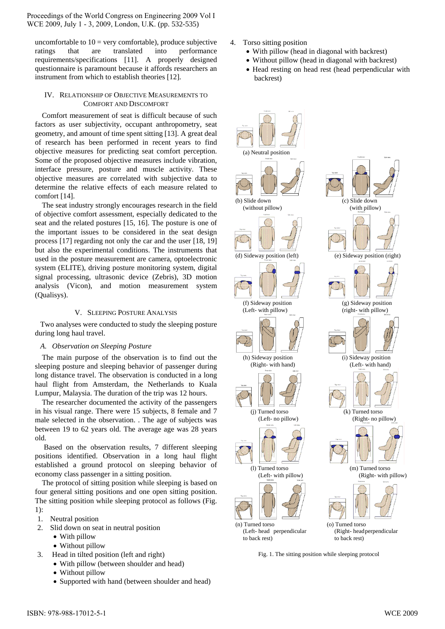Proceedings of the World Congress on Engineering 2009 Vol I WCE 2009, July 1 - 3, 2009, London, U.K. (pp. 532-535)

uncomfortable to  $10 = \text{very comfortable}$ , produce subjective ratings that are translated into performance requirements/specifications [11]. A properly designed questionnaire is paramount because it affords researchers an instrument from which to establish theories [12].

## IV. RELATIONSHIP OF OBJECTIVE MEASUREMENTS TO COMFORT AND DISCOMFORT

Comfort measurement of seat is difficult because of such factors as user subjectivity, occupant anthropometry, seat geometry, and amount of time spent sitting [13]. A great deal of research has been performed in recent years to find objective measures for predicting seat comfort perception. Some of the proposed objective measures include vibration, interface pressure, posture and muscle activity. These objective measures are correlated with subjective data to determine the relative effects of each measure related to comfort [14].

The seat industry strongly encourages research in the field of objective comfort assessment, especially dedicated to the seat and the related postures [15, 16]. The posture is one of the important issues to be considered in the seat design process [17] regarding not only the car and the user [18, 19] but also the experimental conditions. The instruments that used in the posture measurement are camera, optoelectronic system (ELITE), driving posture monitoring system, digital signal processing, ultrasonic device (Zebris), 3D motion analysis (Vicon), and motion measurement system (Qualisys).

### V. SLEEPING POSTURE ANALYSIS

Two analyses were conducted to study the sleeping posture during long haul travel.

## *A. Observation on Sleeping Posture*

The main purpose of the observation is to find out the sleeping posture and sleeping behavior of passenger during long distance travel. The observation is conducted in a long haul flight from Amsterdam, the Netherlands to Kuala Lumpur, Malaysia. The duration of the trip was 12 hours.

The researcher documented the activity of the passengers in his visual range. There were 15 subjects, 8 female and 7 male selected in the observation. . The age of subjects was between 19 to 62 years old. The average age was 28 years old.

 Based on the observation results, 7 different sleeping positions identified. Observation in a long haul flight established a ground protocol on sleeping behavior of economy class passenger in a sitting position.

The protocol of sitting position while sleeping is based on four general sitting positions and one open sitting position. The sitting position while sleeping protocol as follows (Fig. 1):

- 1. Neutral position
- 2. Slid down on seat in neutral position
	- With pillow
	- Without pillow
- 3. Head in tilted position (left and right)
	- With pillow (between shoulder and head)
		- Without pillow
	- Supported with hand (between shoulder and head)
- 4. Torso sitting position
	- With pillow (head in diagonal with backrest)
	- Without pillow (head in diagonal with backrest)
	- Head resting on head rest (head perpendicular with backrest)



Fig. 1. The sitting position while sleeping protocol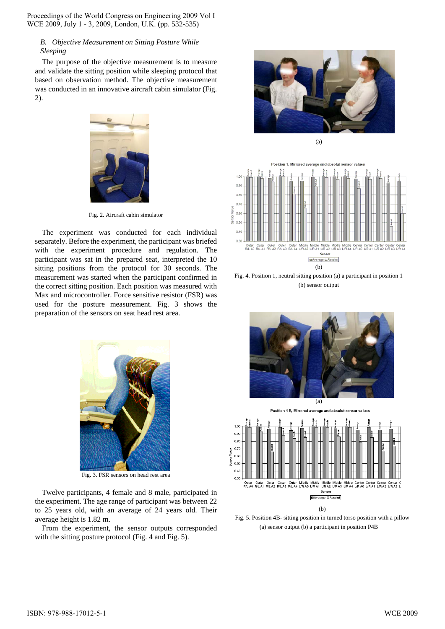Proceedings of the World Congress on Engineering 2009 Vol I WCE 2009, July 1 - 3, 2009, London, U.K. (pp. 532-535)

## *B. Objective Measurement on Sitting Posture While Sleeping*

The purpose of the objective measurement is to measure and validate the sitting position while sleeping protocol that based on observation method. The objective measurement was conducted in an innovative aircraft cabin simulator (Fig. 2).



Fig. 2. Aircraft cabin simulator

The experiment was conducted for each individual separately. Before the experiment, the participant was briefed with the experiment procedure and regulation. The participant was sat in the prepared seat, interpreted the 10 sitting positions from the protocol for 30 seconds. The measurement was started when the participant confirmed in the correct sitting position. Each position was measured with Max and microcontroller. Force sensitive resistor (FSR) was used for the posture measurement. Fig. 3 shows the preparation of the sensors on seat head rest area.





Fig. 4. Position 1, neutral sitting position (a) a participant in position 1 (b) sensor output



Fig. 3. FSR sensors on head rest area

Twelve participants, 4 female and 8 male, participated in the experiment. The age range of participant was between 22 to 25 years old, with an average of 24 years old. Their average height is 1.82 m.

From the experiment, the sensor outputs corresponded with the sitting posture protocol (Fig. 4 and Fig. 5).



Jake

(a) sensor output (b) a participant in position P4B